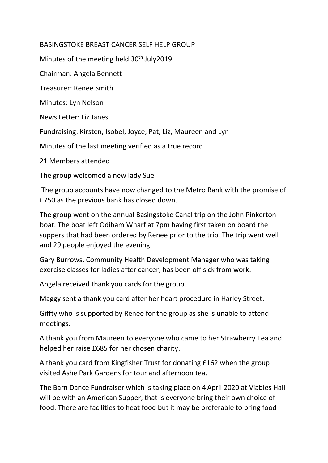## BASINGSTOKE BREAST CANCER SELF HELP GROUP

Minutes of the meeting held  $30<sup>th</sup>$  July2019

Chairman: Angela Bennett

Treasurer: Renee Smith

Minutes: Lyn Nelson

News Letter: Liz Janes

Fundraising: Kirsten, Isobel, Joyce, Pat, Liz, Maureen and Lyn

Minutes of the last meeting verified as a true record

21 Members attended

The group welcomed a new lady Sue

The group accounts have now changed to the Metro Bank with the promise of £750 as the previous bank has closed down.

The group went on the annual Basingstoke Canal trip on the John Pinkerton boat. The boat left Odiham Wharf at 7pm having first taken on board the suppers that had been ordered by Renee prior to the trip. The trip went well and 29 people enjoyed the evening.

Gary Burrows, Community Health Development Manager who was taking exercise classes for ladies after cancer, has been off sick from work.

Angela received thank you cards for the group.

Maggy sent a thank you card after her heart procedure in Harley Street.

Giffty who is supported by Renee for the group as she is unable to attend meetings.

A thank you from Maureen to everyone who came to her Strawberry Tea and helped her raise £685 for her chosen charity.

A thank you card from Kingfisher Trust for donating £162 when the group visited Ashe Park Gardens for tour and afternoon tea.

The Barn Dance Fundraiser which is taking place on 4April 2020 at Viables Hall will be with an American Supper, that is everyone bring their own choice of food. There are facilities to heat food but it may be preferable to bring food